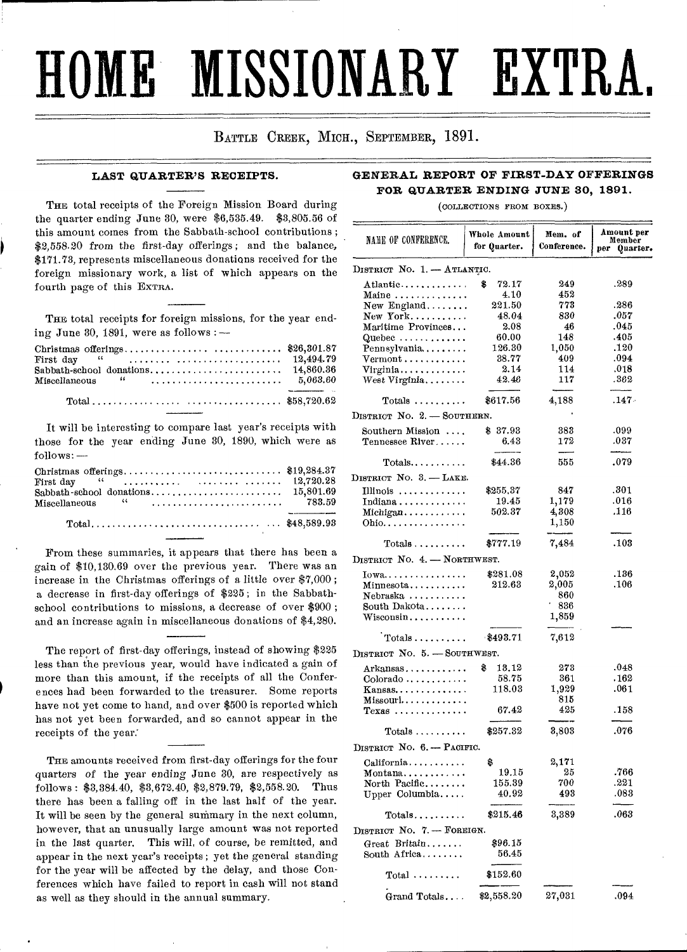# **HOME MISSIONARY EXTRA,**

# BATTLE CREEK, MICH., SEPTEMBER, 1891.

## **LAST QUARTER'S RECEIPTS.**

THE total receipts of the Foreign Mission Board during the quarter ending June 30, were \$6,535.49. \$3,805.56 of this amount comes from the Sabbath-school contributions ; \$2,558.20 from the first-day offerings; and the balance, \$171.73, represents miscellaneous donations received for the foreign missionary work, a list of which appears on the fourth page of this EXTRA.

THE total receipts for foreign missions, for the year ending June 30, 1891, were as follows :  $-$ 

It will be interesting to compare last year's receipts with those for the year ending June 30, 1890, which were as  $follows:$   $-$ 

| First day $\frac{12}{720.28}$ |  |
|-------------------------------|--|
|                               |  |
|                               |  |
|                               |  |
|                               |  |

From these summaries, it appears that there has been a gain of \$10,130.69 over the previous year. There was an increase in the Christmas offerings of a little over \$7,000 ; a decrease in first-day offerings of \$225 ; in the Sabbathschool contributions to missions, a decrease of over \$900 ; and an increase again in miscellaneous donations of \$4,280.

The report of first-day offerings, instead of showing \$225 less than the previous year, would have indicated a gain of more than this amount, if the receipts of all the Conferences had been forwarded to the treasurer. Some reports have not yet come to hand, and over \$500 is reported which has not yet been forwarded, and so cannot appear in the receipts of the year.

THE amounts received from first-day offerings for the four quarters of the year ending June 30, are respectively as follows : \$3,384.40, \$3,672.40, \$2,879.79, \$2,558.20. Thus there has been a falling off in the last half of the year. It will be seen by the general summary in the next column, however, that an unusually large amount was not reported in the last quarter. This will, of course, be remitted, and appear in the next year's receipts ; yet the general standing for the year will be affected by the delay, and those Conferences which have failed to report in cash will not stand as well as they should in the annual summary.

# **GENERAL REPORT OF FIRST-DAY OFFERINGS FOR QUARTER ENDING JUNE 30, 1891.**

(COLLECTIONS FROM BOXES.)

| NAME OF CONFERENCE.                                                            | Whole Amount<br>for Quarter. | Mem. of<br>Conference. | Amount per<br>Member<br>per<br>Quarter. |
|--------------------------------------------------------------------------------|------------------------------|------------------------|-----------------------------------------|
| DISTRICT No. 1. - ATLANTIC.                                                    |                              |                        |                                         |
| $\text{Atlantic} \ldots \ldots \ldots \ldots$                                  | \$<br>72.17                  | 249                    | .289                                    |
| $\text{Maine} \dots \dots \dots \dots \dots$                                   | 4.10                         | 452                    |                                         |
| New England                                                                    | 221.50                       | 773                    | .286                                    |
| $New York$                                                                     | 48.04                        | 830                    | .057                                    |
| Maritime Provinces                                                             | 2.08                         | 46                     | .045                                    |
| Quebec $\ldots \ldots \ldots$                                                  | 60.00                        | 148                    | .405                                    |
| Pennsylvania<br>$\verb Vermont , \ldots, \ldots, \ldots$                       | 126.30<br>38.77              | 1,050<br>409           | .120<br>.094                            |
| Virginia                                                                       | 2.14                         | 114                    | .018                                    |
| ${\rm West~Virginala}, \ldots \ldots$ .                                        | 42.46                        | 117                    | .362                                    |
| $Totals$                                                                       | \$617.56                     | 4,188                  | $.147 -$                                |
| DISTRICT NO. 2. - SOUTHERN.                                                    |                              |                        |                                         |
| Southern Mission                                                               | \$ 37.93                     | 383                    | .099                                    |
| Tennessee River                                                                | 6.43                         | 172                    | .037                                    |
| $\mathrm{Totals} \ldots \ldots \ldots$                                         | \$44.36                      | 555                    | .079                                    |
| DISTRICT NO. 3. - LAKE.                                                        |                              |                        |                                         |
| Illinois                                                                       | \$255.37                     | 847                    | .301                                    |
| $\text{Indiana} \ldots \ldots \ldots \ldots$                                   | $_{19.45}$                   | 1,179                  | .016                                    |
| $\text{Michael} \ldots \ldots \ldots$                                          | 502.37                       | 4,308                  | .116                                    |
| Ohio.                                                                          |                              | 1,150                  |                                         |
| $\text{Totals} \ldots \ldots \ldots \ldots$                                    | \$777.19                     | 7,484                  | .103                                    |
| DISTRICT NO. 4. - NORTHWEST.                                                   |                              |                        |                                         |
| $Iowa \ldots \ldots \ldots$                                                    | \$281.08                     | 2,052                  | .136                                    |
| $\texttt{Minnesota}\dots\dots\dots\dots$                                       | 212.63                       | 2,005                  | .106                                    |
| Nebraska                                                                       |                              | 860                    |                                         |
| South Dakota                                                                   |                              | 836                    |                                         |
| $\rm{Wiseonsin}\dots\dots\dots\$                                               |                              | 1,859                  |                                         |
| $Totals$                                                                       | 8493.71                      |                        |                                         |
|                                                                                |                              | 7,612                  |                                         |
| DISTRICT NO. 5. - SOUTHWEST.                                                   |                              |                        |                                         |
| $\text{Arka}$ nsas $\ldots \ldots \ldots \ldots$                               | \$<br>13.12<br>58.75         | 273<br>361             | .048<br>. 162                           |
| $\text{Colorado} \dots \dots \dots$<br>$K$ ansas $\ldots \ldots \ldots \ldots$ | 118.03                       | 1,929                  | .061                                    |
| $\operatorname{Missouri} \ldots \ldots \ldots \ldots$                          |                              | 815                    |                                         |
| $Texas$                                                                        | 67.42                        | 425                    | .158                                    |
| $Totals$                                                                       | \$257.32                     | 3,803                  | .076                                    |
| DISTRICT NO. 6. -- PACIFIC.                                                    |                              |                        |                                         |
| California                                                                     | \$                           | 2,171                  |                                         |
| Montana                                                                        | 19.15                        | 25                     | .766                                    |
| North Pacific                                                                  | 155.39                       | 700                    | .221                                    |
| Upper Columbia                                                                 | 40.92                        | 493                    | .083                                    |
| $Totals$                                                                       | \$215.46                     | 3,389                  | .063                                    |
| DISTRICT No. 7. - FOREIGN.                                                     |                              |                        |                                         |
| Great Britain                                                                  | \$96.15                      |                        |                                         |
| South Africa                                                                   | 56.45                        |                        |                                         |
| $Total \ldots \ldots$                                                          | \$152.60                     |                        |                                         |
| Grand Totals                                                                   | \$2,558.20                   | 27,031                 | .094                                    |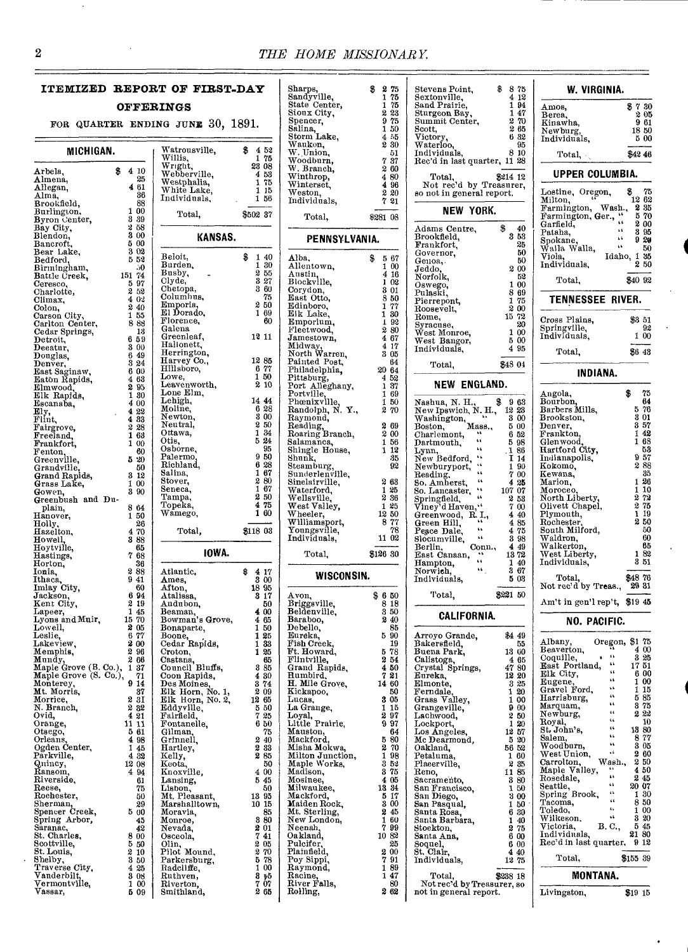Sharps

# **ITEMIZED REPORT OF FIRST-DAY**

## **OFFERINGS**

FOR QUARTER ENDING

| MICHIGAN.                                                                         |                                      | Watrou<br><br>Willis,       |
|-----------------------------------------------------------------------------------|--------------------------------------|-----------------------------|
|                                                                                   | \$<br>4<br>10                        | Wright                      |
| Arbela,<br>Almena,                                                                | 25                                   | Webbe                       |
| Allegan,                                                                          | 4<br>61                              | Westpl<br>${\bf White}$     |
| Alma,                                                                             | 36<br>88                             | Indivio                     |
| Brookfield,<br>Burlington,                                                        | 1<br>00                              |                             |
| Byron Center,                                                                     | 3<br>39                              | To                          |
| Bay City,                                                                         | 2<br>58<br>3                         |                             |
| Blendon,<br>Bancroft,                                                             | 00<br>5<br>00                        |                             |
| Bear Lake,                                                                        | 3<br>02                              | Beloit,                     |
| Bedford,<br>Birmingham,                                                           | 52<br>5<br>ĴО.                       | Burder                      |
| Battle Creek,                                                                     | 151<br>74                            | Busby,                      |
| Ceresco,                                                                          | 97<br>$\frac{5}{2}$                  | Clyde,                      |
| Charlotte,<br>Climax,                                                             | 52<br>4<br>02                        | Chetop<br>Columl            |
| Colon,                                                                            | 2<br>40                              | Empor<br>El Dor             |
| Carson City,                                                                      | 1<br>55                              | Floren                      |
| Carlton Center,<br>Cedar Springs,                                                 | 8<br>88<br>18                        | Galena                      |
| Detroit,                                                                          | 6<br>59                              | Greenl                      |
| Decatur,                                                                          | 3<br>00                              | Hallon<br>Herrin            |
| $\mathbf{p}$ ouglas,<br>Denver,                                                   | 6<br>49<br>3<br>24                   | Harvey<br>Hillsbo           |
| East Saginaw,                                                                     | 6<br>00                              |                             |
| Eaton Rapids,                                                                     | 4<br>63                              | Lowe,<br>Leaven             |
| Elmwood,<br>Elk Rapids,                                                           | 2<br>95<br>1<br>30                   | $\mathbf L$ one $\mathbf E$ |
| Escanaba,                                                                         | 4<br>00                              | ${\bf Lehigh}$              |
| Еlу,                                                                              | $\ddot{\textbf{4}}$<br>22<br>4<br>33 | Moline<br>Newto:            |
| Flint,                                                                            | 2<br>28                              | Neutra                      |
| Fairgrove,<br>Freeland,                                                           | 1<br>63                              | Ottawa                      |
| Frankfort,                                                                        | 1<br>00<br>60                        | Otis,<br>Osborn             |
| Fenton,<br>Greenville,                                                            | 5<br>20                              | Palern                      |
| Grandville,                                                                       | 50                                   | Richla:                     |
| Grand Rapids,<br>Grass Lake,                                                      | 3<br>12<br>1<br>00                   | 3alina,<br>Stover,          |
| Gowen,                                                                            | 3<br>90                              | Seneca                      |
| Greenbush and                                                                     | Du-                                  | Tampa<br>Topeka             |
| plain,<br>Hanover,                                                                | 8<br>64<br>50<br>1                   | Wameg                       |
| Holly                                                                             | 26                                   |                             |
| Hazelton,                                                                         | 70<br>4                              | Τо                          |
| Howell<br>Hoytville,                                                              | 3<br>88<br>65                        |                             |
| Hastings,                                                                         | 7<br>68                              |                             |
| Horton,<br>Ionia,                                                                 | 36<br>2<br>88                        | Atlanti                     |
|                                                                                   | 9<br>41                              | Ames,                       |
| Ithaca.<br>Imlay City,                                                            | 60                                   | Afton,                      |
| Jackson.<br>Kent City,                                                            | 6<br>94<br>2<br>19                   | $_{\rm Ataliss}$<br>Audub   |
| Lapeer,                                                                           | 1<br>45                              | Beama                       |
| Lyons and Muir,                                                                   | 70<br>15<br>2                        | <b>Bowma</b>                |
| Lowell,                                                                           | 05<br>77<br>6                        | Bonapa<br>Boone,            |
| Leslie,<br>Lakeview,                                                              | 2<br>00                              | Cedar                       |
| Memphis,                                                                          | 2<br>96<br>2<br>66                   | Croton<br>Castan            |
| Mundy,<br>Maple Grove (B. Co.),<br>Maple Grove (S. Co.),<br>Maple Grove (S. Co.), | 1<br>37                              | ounci,                      |
|                                                                                   | 71                                   | Coon F<br>Des Mo            |
| Monterey,<br>Mt. Morris,                                                          | 9<br>14<br>37                        | $\mathbf H$<br>Elk          |
| Morrice,                                                                          | 2<br>ЗI                              | Elk<br>н                    |
| N. Bı<br>Ovid,<br>Branch,                                                         | 2<br>32<br>4                         | Eddyvi                      |
| Orange,                                                                           | 21<br>11<br>11                       | Fairfiel<br>Fontar          |
| Otsego,                                                                           | 5<br>61                              | Gilmar                      |
| Orleans,<br>Ogden Center,                                                         | 4<br>98<br>1                         | Grinne                      |
| Pārkville,                                                                        | 45<br>4<br>32                        | Hartle;<br>Kelly,           |
| Quincy,<br>Ransom,                                                                | 12<br>08                             | Keota,<br>Knoxvi            |
| Riverside,                                                                        | 4<br>94                              |                             |
| Reese,                                                                            | 61<br>75                             | Lansin<br>Lisbon            |
| Rochester,                                                                        | 50                                   | Mt. Ple                     |
| Sherman,<br>Spencer Creek,                                                        | 29<br>5<br>00                        | Marsha<br>Moravi            |
| Spring Arbor,                                                                     | 45                                   | Monroe                      |
| Saranac,                                                                          | 42                                   | Nevada                      |
| St. Charles,<br>Scottville,                                                       | 8<br>00<br>5<br>50                   | Osceol<br>Olin,             |
| St. Louis,                                                                        | 2<br>10                              | ď<br>Pilot                  |
| Shelby,                                                                           | 3<br>50                              | Parker                      |
| Traverse City,<br>Vanderbilt,                                                     | 4<br>25<br>3<br>08                   | Radeli:<br>Ruthv€           |
| Vermontville,                                                                     | 1<br>00                              | Riverto                     |
| Vassar,                                                                           | Б<br>09                              | Smithl                      |
|                                                                                   |                                      |                             |

| ΙG<br>JUNE                                                                                                                                                                                                                                                                                                                                                                                                                                                                                                                                                                              | 30,     | 1891.      |                                                                                                                                                                                 |                                                                                                                                                                                                                                                    | 51.<br>.<br>Sp<br>Sa.<br>Sto                                                                                                                                                                                                                              |
|-----------------------------------------------------------------------------------------------------------------------------------------------------------------------------------------------------------------------------------------------------------------------------------------------------------------------------------------------------------------------------------------------------------------------------------------------------------------------------------------------------------------------------------------------------------------------------------------|---------|------------|---------------------------------------------------------------------------------------------------------------------------------------------------------------------------------|----------------------------------------------------------------------------------------------------------------------------------------------------------------------------------------------------------------------------------------------------|-----------------------------------------------------------------------------------------------------------------------------------------------------------------------------------------------------------------------------------------------------------|
| Watrousville,<br>Willis,<br>Wright,<br>Webberville,<br>Westphalia,<br>White Lake,<br>Individuals,<br>Total,                                                                                                                                                                                                                                                                                                                                                                                                                                                                             |         | S<br>\$502 | 4<br>1<br>23<br>4<br>1<br>1<br>1                                                                                                                                                | 52<br>75<br>08<br>53<br>75<br>15<br>56<br>37                                                                                                                                                                                                       | w,<br>W.<br>w۰<br>W<br>Wi<br>Wi<br>w٠<br>In(                                                                                                                                                                                                              |
|                                                                                                                                                                                                                                                                                                                                                                                                                                                                                                                                                                                         | KANSAS. |            |                                                                                                                                                                                 |                                                                                                                                                                                                                                                    |                                                                                                                                                                                                                                                           |
| Beloit,<br>Burden.<br>Busby,<br>Clyde,<br>Chetopa,<br>Columbus,<br>Emporia,<br>El Dorado,<br>Florence,<br>Galena<br>Greenleaf,<br>Hallonett,<br>Hansasser,<br>Herrington,<br>Harvey Co.,<br>Hillsboro,<br>$\overline{\text{Lowe}}$                                                                                                                                                                                                                                                                                                                                                      |         | \$         | 1<br>1<br>2<br>3<br>3<br>2<br>1<br>12<br>12<br>6<br>1<br>2                                                                                                                      | 40<br>30<br>55<br>27<br>60<br>75<br>50<br>69<br>60<br>11<br>85<br>77<br>50<br>10                                                                                                                                                                   | Al<br>Al<br>Αņ<br>Bk<br>Co.<br>Eа<br>Ed<br>Ell<br>En<br>Fl<br>Jai<br>Мi<br>Ņο<br>Pa:<br>$_{\rm Ph}$<br>Pit<br>$\overline{P}$<br>$\mathbf{p}_0$                                                                                                            |
| Lowe,<br>Leavenworth,<br>Lone Elm,<br>Lehigh,<br>Moline,<br>Newter<br>Newton,<br>Neutral,<br>Ottawa,<br>Otis,<br>Osborne,<br>Palermo,<br>Richland,<br>Salina,<br>Stover,<br>Seneca,<br>Tampa,<br>Topeka,<br>Wāmego,<br>Total,                                                                                                                                                                                                                                                                                                                                                           |         | \$118      | 14<br>6<br>3<br>2<br>1<br>5<br>9<br>6<br>1<br>2<br>1<br>2<br>4<br>1                                                                                                             | 44<br>28<br>00<br>50<br>34<br>24<br>95<br>50<br>28<br>67<br>80<br>67<br>50<br>75<br>60<br>03                                                                                                                                                       | $_{\rm Ph}$<br>Ra<br>Ra<br>$_{\rm Re}$<br>Ro<br>Sal<br>Sh<br>$_{\rm Sh}$<br>Ste<br>Su<br>Sir<br>W٤<br>W١<br>w<br>W)<br>Wi<br>Yο<br>In                                                                                                                     |
|                                                                                                                                                                                                                                                                                                                                                                                                                                                                                                                                                                                         | IOWA.   |            |                                                                                                                                                                                 |                                                                                                                                                                                                                                                    |                                                                                                                                                                                                                                                           |
| Atlantic,<br>Ames,<br>Afton,<br>Atalissa,<br>Audubon,<br>Beaman,<br>Bowman's Grove,<br>Bonaparte,<br>Boone,<br>Cedar Rapids,<br>Croton,<br>Castana,<br>Council Bluffs,<br>Casar Danidae<br>Coon Rapids,<br>Des Moines,<br>Elk Horn, No. 1,<br>Elk Horn, No. 2,<br>Eddyville,<br>Fairfield,<br>Fontanelle,<br>Gilman.<br>Grinnell,<br>Hartley,<br>Kelly,<br>Keota,<br>Knoxville,<br>Lansing,<br>Lisbon,<br>Mt. Pleasant,<br>Marshalltown,<br>Moravia,<br>Monroe,<br>Nevada,<br>Osceola,<br>Olin,<br>Pilot<br>Mound,<br>Parkersburg,<br>Radcliffe,<br>Ruthven,<br>Riverton,<br>Smithland, |         | \$         | 4<br>3<br>18<br>8<br>4<br>4<br>1<br>1<br>1<br>1<br>3<br>4<br>3<br>2<br>12<br>ō<br>7<br>6<br>2<br>2<br>2<br>4<br>5<br>13<br>10<br>8<br>2<br>7<br>2<br>2<br>5<br>1<br>8<br>7<br>2 | 17<br>00<br>95<br>17<br>50<br>00<br>65<br>50<br>25<br>33<br>25<br>65<br>85<br>30<br>74<br>09<br>65<br>ōU<br>25<br>50<br>75<br>40<br>33<br>85<br>50<br>00<br>45<br>50<br>95<br>15<br>85<br>80<br>01<br>41<br>05<br>70<br>78<br>00<br>ե5<br>07<br>65 | Aν<br>Br<br>Be<br>Ba<br>$_{\rm De}$<br>Еu<br>Fit<br>Ft.<br>Fli<br>$_{\rm Gr}$<br>Βu<br>н.<br>Ki<br>Lu<br>L8.<br>Lo,<br>Lit<br>Ma<br>Mа<br>Мi<br>Μi<br>Mз<br>Мa<br>Mc<br>Mi<br>Mа<br>Mа<br>Μt<br>Ne<br>Ne<br>Oа<br>Pu<br>Pla<br>Po<br>Ra<br>Ra<br>Ri<br>Ro |

| Sandyville,<br>State Center,                          | v<br>٠.<br>75<br>1          |
|-------------------------------------------------------|-----------------------------|
| Sioux City,                                           | 75<br>1<br>2<br>23          |
| Spencer,                                              | 9<br>75                     |
| Spor<br>Salina,<br>Trom Lake,                         | 50<br>1                     |
|                                                       | 4<br>55<br>2<br>30          |
| Waukon,<br>W. Union,                                  | 51                          |
| <br>Woodburn,<br>W. Branch,                           | 7<br>37<br>2                |
| winthrop,                                             | 60<br>4<br>80               |
| Winterset,<br>Weston,                                 | 4<br>96                     |
| Individuals,                                          | è<br>20<br>21               |
|                                                       |                             |
| Total,                                                | 08<br>\$281                 |
|                                                       |                             |
| PENNSYLVANIA.                                         |                             |
| Alba,                                                 | \$<br>5<br>67               |
| Allentown,                                            | 1<br>00                     |
| Austin,<br>Blockville,                                | 4<br>16<br>ı<br>02          |
| Corydon,                                              | 3<br>01                     |
| East Otto,                                            | 8<br>50<br>77               |
| Edinboro,<br>Elk Lake,                                | 1<br>1<br>30                |
| Emporium,                                             | 1<br>92                     |
| Fleetwood,<br>Jamestown,                              | 2<br>80<br>4<br>67          |
| Midway,<br>North Warren,                              | 17<br>4                     |
|                                                       | 3<br>05                     |
| Painted Post,<br>Philadelphia,                        | 64<br>20<br>64              |
| Pittsburg,<br>Port Alleghany,                         | 4<br>52                     |
|                                                       | 37<br>1<br>69<br>1          |
| Portville,<br>Phœnixville.                            | 50<br>1                     |
| Randolph, N.<br>Y.,                                   | 2<br>70                     |
| Raymond,                                              | 2<br>69                     |
| Reading,<br>Roaring Branch,                           | 2<br>00                     |
| Salamanca,                                            | 1<br>56<br>12<br>1          |
| Shingle House,<br>Shunk,                              | 35                          |
| Steamburg,<br>Sunderlenville,<br>Sinelairville,       | 92                          |
|                                                       | 2<br>63                     |
|                                                       |                             |
|                                                       | 25<br>1                     |
|                                                       | 2<br>36                     |
|                                                       | $\mathbf{1}$<br>25          |
| Waterford,<br>Wellsville,<br>West Valley,<br>Wheeler, | 12<br>50<br>77<br>8         |
| Williamsport,<br>Youngsville,                         | 78                          |
| Individuals,                                          | 11<br>$_{02}$               |
| Total,                                                | \$126<br>30                 |
| WISCONSIN.                                            |                             |
|                                                       |                             |
| A von,                                                | \$<br>6<br>50               |
| Briggsville,                                          | 8<br>18<br>$_{\rm 3}$<br>50 |
| Beldenville,<br>Baraboo,                              | 2<br>40                     |
| Debello,                                              | 85                          |
| Eureka,<br>Fish Creek.                                | 5<br>90<br>19               |
| Ft.<br>Howard,                                        | 78                          |
| Flintville.                                           | 5<br>2<br>54<br>4<br>50     |
| Grand Rapids,                                         | 7<br>21                     |
| Rumbird.<br>H. Mile Grove                             | 14<br>60                    |
| Kickapoo,<br>Lucas,                                   | 50<br>3<br>05               |
| La Grange,                                            | 1<br>15                     |
| Loyal,                                                | 2<br>97<br>9<br>97          |
| Prairie,<br>$_{\rm Little}$<br>Mauston,               | 64                          |
| Mackford                                              | 5<br>80                     |
| Misha Mokwa.<br>Milton Junction,                      | 2<br>70<br>1<br>98          |
| Works.<br>Maple                                       | 3<br>52                     |
| Madison,<br>Mosinee,                                  | 3<br>75<br>4<br>05          |
| Milwaukee,                                            | 18<br>34                    |
| Mackford,                                             | 17<br>5<br>3<br>00          |
| Maiden Rock.                                          | 2<br>45                     |
| Mt. Sterling,<br>New London,                          | 1<br>60                     |
| Neenah                                                | 7<br>99<br>10<br>82         |
| Oakland,<br>Pulcifer,                                 | 25                          |
| Plainfield,                                           | 00                          |
| Poy Sippi<br>Raymond,                                 | 27<br>91<br>1<br>89         |
| Racine,<br>River Falls,                               | $\mathbf{1}$<br>47<br>80    |

| $\overline{1}$ $94$<br>1<br>75<br>Sand Prairie,<br>Amos,<br>$\overline{1}$ 47<br>2 23<br>Sturgeon Bay,<br>Berea,<br>270<br>9 75<br>Summit Center,<br>961<br>Kinawha,<br>265<br>1 50<br>Scott,<br>Newburg,<br>455<br>Victory,<br>632<br>5 00<br>Individuals,<br>230<br>Waterloo,<br>95<br>8 10<br>51<br>Individuals,<br>Total,<br>737<br>Rec'd in last quarter, 11 28<br>260<br>UPPER COLUMBIA.<br>480<br>Total,<br>\$214 12<br>4 96<br>Not rec'd by Treasurer,<br>Lostine, Oregon,<br>Milton<br>\$<br>220<br>so not in general report.<br>721<br>Milton,<br>Farmington, Wash.,<br>235<br>NEW YORK.<br>Farmington, Ger., "<br>\$281 08<br>2 00<br>Garfield,<br>\$<br>40<br>Adams Centre,<br>$\pm$ 1<br>395<br>Pataha,<br>353<br>Brookfield,<br>$\pm 4$<br>A.<br>Spokane,<br>Walla Walla,<br>25<br>Frankfort,<br>$\sim$<br>50<br>50<br>Governor,<br>Idaho,<br>Viola,<br>\$<br>567<br>50<br>Genoa,<br>Individuals,<br>$1\,00$<br>200<br>Jeddo,<br>4 16<br>52<br>Norfolk,<br>Total,<br>1 02<br>1 00<br>Oswego,<br>3 01<br>869<br>Pulaski,<br>350<br>TENNESSEE RIVER.<br>1 75<br>Pierrepont,<br>1 77<br>2 00<br>Roosevelt,<br>1 30<br>15 72<br>Rome,<br>\$3 51<br>Cross Plains,<br>192<br>20<br>Syracuse,<br>Springville,<br>280<br>1 00<br>West Monroe,<br>Individuals,<br>1 00<br>467<br>5 00<br>West Bangor,<br>4 17<br>4 95<br>Individuals,<br>Total,<br>3 05<br>64<br>\$48 04<br>Total,<br>20 64<br><b>INDIANA.</b><br>452<br>NEW ENGLAND.<br>1 37<br>\$.<br>75<br>169<br>Angola,<br>150<br>Bourbon,<br>Nashua, N. H., \$<br>New Ipswich, N. H., Washington,<br>Boston, Mass.,<br>963<br>270<br>12 23<br>Barbers Mills,<br>301<br>3 00<br>Brookston,<br>269<br>5 00<br>Denver,<br>2 00<br>Frankton,<br>6 52<br>Charlemont,<br>Ġ.<br>168<br>Glenwood<br>156<br>598<br>Dartmouth,<br>Hartford City,<br>44<br>1 12<br>$\frac{1}{1}$ $\frac{86}{14}$<br>Lynn,<br>New Bedford,<br>957<br>35<br>Indianapolis,<br>$\ddot{\phantom{1}}$<br>288<br>92<br>Newburyport,<br>$\frac{1}{7}$ $\frac{90}{00}$<br>Kokomo,<br>$\ddot{\phantom{a}}$<br>Kewana,<br>Reading.<br>1 26<br>263<br>$-4.4$<br>4 25<br>Marion,<br>So. Amherst,<br>So. Lancaster,<br>$\frac{107}{2} \frac{07}{53}$<br>1 10<br>64<br>$\begin{smallmatrix} 1 & 25 \\ 2 & 36 \end{smallmatrix}$<br>Moroceo<br>North Liberty,<br>Springfield.<br>Viney'd Haven.<br>275<br>7 00<br>125<br>Olivett Chapel,<br>119<br>1250<br>Plymouth,<br>Greenwood, R.I.,<br>4 40<br>8 77<br>78<br>66<br>Rochester.<br>South Milford,<br>Green Hill,<br>485<br>66.<br>4 75<br>50<br>Peace Dale,<br>$\mathbf{6.6}$<br>11 02<br>Waldron,<br>3 98<br>Slocumville,<br>Conn.,<br>4 4 9<br>Walkerton,<br>Berlin,<br>1 82<br>\$126 30<br>West Liberty,<br>East Canaan, "<br>1372<br>$\sim 10$<br>Individuals,<br>140<br>Hampton,<br>$\mathcal{L}$<br>367<br>Norwich,<br>\$48 76<br>5 03<br>Total,<br>Individuals,<br>Not rec'd by Treas.,<br>\$221 50<br>Total,<br>\$<br>650<br>818<br>350<br>CALIFORNIA.<br>240<br>NO. PACIFIC.<br>85<br>5 90<br>\$4 49<br>Arroyo Grande,<br>Oregon, \$1 75<br>4 00<br>Albany,<br>19<br>Bakersfield,<br>55<br>Bearerton,<br>578<br>13 00<br>Buena Park,<br>$\alpha$<br>Coquille,<br>254<br>Calistoga,<br>Crystal Springs,<br>465<br>East Portland, "<br>Elk City<br>47 80<br>450<br>Elk City,<br>6 00<br>Eureka<br>12 20<br>791<br>46<br>Eugene,<br>325<br>14 60<br>Elmonte,<br>٠,<br>Gravel Ford,<br>1 15<br>50<br>1 20<br>Ferndale,<br>$\mathfrak{c}\mathfrak{c}$<br>Harrisburg,<br>305<br>Grass Valley,<br>1 00<br>44<br>Marquam,<br>1 15<br>9 00<br>Grangeville,<br>66<br>222<br>297<br>Newburg,<br>250<br>Lachwood,<br>$\ddot{\phantom{a}}$<br>Royal.<br>1 20<br>997<br>Lockport,<br>$\ddot{\phantom{a}}$<br>St. John's,<br>64<br>1257<br>Los Angeles,<br>44<br>8 77<br>Salem,<br>5<br>-80<br>Mc Dearmond,<br>520<br>44<br>Woodburn,<br>70<br>2<br>Oakland,<br>56 52<br>$\bullet$ 6<br>West Union,<br>198<br>Petaluma,<br>160<br>Wash.,<br>250<br>Carrolton,<br>352<br>Plaeerville,<br>235<br>Maple Valley,<br>.,<br>375<br>1185<br>Reno,<br>gs.<br>Rosedale,<br>405<br>380<br>Sacramento,<br>44<br>20 O7<br>Seattle,<br>18 34<br>San Francisco,<br>150<br>$\mathbf{G}$<br>Spring Brook,<br>17<br>3 00<br>5.<br>San Diego,<br>œ<br>Tacoma,<br>3 00<br>San Pasqual,<br>150<br>$\epsilon$<br>Toledo,<br>1 00<br>245<br>Santa Rosa,<br>6 30<br>$\overline{1}$<br>Wilkeson,<br>160<br>Santa Barbara,<br>140<br>B. C.,<br>Victoria,<br>7<br>-99<br>Stockton,<br>275<br>Individuals,<br>2180<br>1082<br>6 00<br>Santa Ana,<br>Rec'd in last quarter,<br>25<br>6 00<br>Soquel,<br>200<br>St. Clair,<br>4 40<br>Total,<br>791<br>1275<br>Individuals,<br>189<br>MONTANA.<br>147<br>Total,<br>\$238 18<br>80<br>Not rec'd by Treasurer, so<br>262<br>not in general report.<br>Livingston, | \$<br>-75<br>2<br>75<br>$\mathbf{i}$ | 875<br>Stevens Point,<br>\$<br>Sextonville,<br>412 | W. VIRGINIA.                 |
|-------------------------------------------------------------------------------------------------------------------------------------------------------------------------------------------------------------------------------------------------------------------------------------------------------------------------------------------------------------------------------------------------------------------------------------------------------------------------------------------------------------------------------------------------------------------------------------------------------------------------------------------------------------------------------------------------------------------------------------------------------------------------------------------------------------------------------------------------------------------------------------------------------------------------------------------------------------------------------------------------------------------------------------------------------------------------------------------------------------------------------------------------------------------------------------------------------------------------------------------------------------------------------------------------------------------------------------------------------------------------------------------------------------------------------------------------------------------------------------------------------------------------------------------------------------------------------------------------------------------------------------------------------------------------------------------------------------------------------------------------------------------------------------------------------------------------------------------------------------------------------------------------------------------------------------------------------------------------------------------------------------------------------------------------------------------------------------------------------------------------------------------------------------------------------------------------------------------------------------------------------------------------------------------------------------------------------------------------------------------------------------------------------------------------------------------------------------------------------------------------------------------------------------------------------------------------------------------------------------------------------------------------------------------------------------------------------------------------------------------------------------------------------------------------------------------------------------------------------------------------------------------------------------------------------------------------------------------------------------------------------------------------------------------------------------------------------------------------------------------------------------------------------------------------------------------------------------------------------------------------------------------------------------------------------------------------------------------------------------------------------------------------------------------------------------------------------------------------------------------------------------------------------------------------------------------------------------------------------------------------------------------------------------------------------------------------------------------------------------------------------------------------------------------------------------------------------------------------------------------------------------------------------------------------------------------------------------------------------------------------------------------------------------------------------------------------------------------------------------------------------------------------------------------------------------------------------------------------------------------------------------------------------------------------------------------------------------------------------------------------------------------------------------------------------------------------------------------------------------------------------------------------------------------------------------------------------------------------------------------------------------------------------------------------------------------------------------------------------------------------|--------------------------------------|----------------------------------------------------|------------------------------|
|                                                                                                                                                                                                                                                                                                                                                                                                                                                                                                                                                                                                                                                                                                                                                                                                                                                                                                                                                                                                                                                                                                                                                                                                                                                                                                                                                                                                                                                                                                                                                                                                                                                                                                                                                                                                                                                                                                                                                                                                                                                                                                                                                                                                                                                                                                                                                                                                                                                                                                                                                                                                                                                                                                                                                                                                                                                                                                                                                                                                                                                                                                                                                                                                                                                                                                                                                                                                                                                                                                                                                                                                                                                                                                                                                                                                                                                                                                                                                                                                                                                                                                                                                                                                                                                                                                                                                                                                                                                                                                                                                                                                                                                                                                                                                 |                                      |                                                    | \$730                        |
|                                                                                                                                                                                                                                                                                                                                                                                                                                                                                                                                                                                                                                                                                                                                                                                                                                                                                                                                                                                                                                                                                                                                                                                                                                                                                                                                                                                                                                                                                                                                                                                                                                                                                                                                                                                                                                                                                                                                                                                                                                                                                                                                                                                                                                                                                                                                                                                                                                                                                                                                                                                                                                                                                                                                                                                                                                                                                                                                                                                                                                                                                                                                                                                                                                                                                                                                                                                                                                                                                                                                                                                                                                                                                                                                                                                                                                                                                                                                                                                                                                                                                                                                                                                                                                                                                                                                                                                                                                                                                                                                                                                                                                                                                                                                                 |                                      |                                                    | 205                          |
|                                                                                                                                                                                                                                                                                                                                                                                                                                                                                                                                                                                                                                                                                                                                                                                                                                                                                                                                                                                                                                                                                                                                                                                                                                                                                                                                                                                                                                                                                                                                                                                                                                                                                                                                                                                                                                                                                                                                                                                                                                                                                                                                                                                                                                                                                                                                                                                                                                                                                                                                                                                                                                                                                                                                                                                                                                                                                                                                                                                                                                                                                                                                                                                                                                                                                                                                                                                                                                                                                                                                                                                                                                                                                                                                                                                                                                                                                                                                                                                                                                                                                                                                                                                                                                                                                                                                                                                                                                                                                                                                                                                                                                                                                                                                                 |                                      |                                                    | 18 50                        |
|                                                                                                                                                                                                                                                                                                                                                                                                                                                                                                                                                                                                                                                                                                                                                                                                                                                                                                                                                                                                                                                                                                                                                                                                                                                                                                                                                                                                                                                                                                                                                                                                                                                                                                                                                                                                                                                                                                                                                                                                                                                                                                                                                                                                                                                                                                                                                                                                                                                                                                                                                                                                                                                                                                                                                                                                                                                                                                                                                                                                                                                                                                                                                                                                                                                                                                                                                                                                                                                                                                                                                                                                                                                                                                                                                                                                                                                                                                                                                                                                                                                                                                                                                                                                                                                                                                                                                                                                                                                                                                                                                                                                                                                                                                                                                 |                                      |                                                    |                              |
|                                                                                                                                                                                                                                                                                                                                                                                                                                                                                                                                                                                                                                                                                                                                                                                                                                                                                                                                                                                                                                                                                                                                                                                                                                                                                                                                                                                                                                                                                                                                                                                                                                                                                                                                                                                                                                                                                                                                                                                                                                                                                                                                                                                                                                                                                                                                                                                                                                                                                                                                                                                                                                                                                                                                                                                                                                                                                                                                                                                                                                                                                                                                                                                                                                                                                                                                                                                                                                                                                                                                                                                                                                                                                                                                                                                                                                                                                                                                                                                                                                                                                                                                                                                                                                                                                                                                                                                                                                                                                                                                                                                                                                                                                                                                                 |                                      |                                                    | \$4246                       |
|                                                                                                                                                                                                                                                                                                                                                                                                                                                                                                                                                                                                                                                                                                                                                                                                                                                                                                                                                                                                                                                                                                                                                                                                                                                                                                                                                                                                                                                                                                                                                                                                                                                                                                                                                                                                                                                                                                                                                                                                                                                                                                                                                                                                                                                                                                                                                                                                                                                                                                                                                                                                                                                                                                                                                                                                                                                                                                                                                                                                                                                                                                                                                                                                                                                                                                                                                                                                                                                                                                                                                                                                                                                                                                                                                                                                                                                                                                                                                                                                                                                                                                                                                                                                                                                                                                                                                                                                                                                                                                                                                                                                                                                                                                                                                 |                                      |                                                    |                              |
|                                                                                                                                                                                                                                                                                                                                                                                                                                                                                                                                                                                                                                                                                                                                                                                                                                                                                                                                                                                                                                                                                                                                                                                                                                                                                                                                                                                                                                                                                                                                                                                                                                                                                                                                                                                                                                                                                                                                                                                                                                                                                                                                                                                                                                                                                                                                                                                                                                                                                                                                                                                                                                                                                                                                                                                                                                                                                                                                                                                                                                                                                                                                                                                                                                                                                                                                                                                                                                                                                                                                                                                                                                                                                                                                                                                                                                                                                                                                                                                                                                                                                                                                                                                                                                                                                                                                                                                                                                                                                                                                                                                                                                                                                                                                                 |                                      |                                                    | 75                           |
|                                                                                                                                                                                                                                                                                                                                                                                                                                                                                                                                                                                                                                                                                                                                                                                                                                                                                                                                                                                                                                                                                                                                                                                                                                                                                                                                                                                                                                                                                                                                                                                                                                                                                                                                                                                                                                                                                                                                                                                                                                                                                                                                                                                                                                                                                                                                                                                                                                                                                                                                                                                                                                                                                                                                                                                                                                                                                                                                                                                                                                                                                                                                                                                                                                                                                                                                                                                                                                                                                                                                                                                                                                                                                                                                                                                                                                                                                                                                                                                                                                                                                                                                                                                                                                                                                                                                                                                                                                                                                                                                                                                                                                                                                                                                                 |                                      |                                                    | 12 62                        |
|                                                                                                                                                                                                                                                                                                                                                                                                                                                                                                                                                                                                                                                                                                                                                                                                                                                                                                                                                                                                                                                                                                                                                                                                                                                                                                                                                                                                                                                                                                                                                                                                                                                                                                                                                                                                                                                                                                                                                                                                                                                                                                                                                                                                                                                                                                                                                                                                                                                                                                                                                                                                                                                                                                                                                                                                                                                                                                                                                                                                                                                                                                                                                                                                                                                                                                                                                                                                                                                                                                                                                                                                                                                                                                                                                                                                                                                                                                                                                                                                                                                                                                                                                                                                                                                                                                                                                                                                                                                                                                                                                                                                                                                                                                                                                 |                                      |                                                    | 5 70                         |
|                                                                                                                                                                                                                                                                                                                                                                                                                                                                                                                                                                                                                                                                                                                                                                                                                                                                                                                                                                                                                                                                                                                                                                                                                                                                                                                                                                                                                                                                                                                                                                                                                                                                                                                                                                                                                                                                                                                                                                                                                                                                                                                                                                                                                                                                                                                                                                                                                                                                                                                                                                                                                                                                                                                                                                                                                                                                                                                                                                                                                                                                                                                                                                                                                                                                                                                                                                                                                                                                                                                                                                                                                                                                                                                                                                                                                                                                                                                                                                                                                                                                                                                                                                                                                                                                                                                                                                                                                                                                                                                                                                                                                                                                                                                                                 |                                      |                                                    |                              |
|                                                                                                                                                                                                                                                                                                                                                                                                                                                                                                                                                                                                                                                                                                                                                                                                                                                                                                                                                                                                                                                                                                                                                                                                                                                                                                                                                                                                                                                                                                                                                                                                                                                                                                                                                                                                                                                                                                                                                                                                                                                                                                                                                                                                                                                                                                                                                                                                                                                                                                                                                                                                                                                                                                                                                                                                                                                                                                                                                                                                                                                                                                                                                                                                                                                                                                                                                                                                                                                                                                                                                                                                                                                                                                                                                                                                                                                                                                                                                                                                                                                                                                                                                                                                                                                                                                                                                                                                                                                                                                                                                                                                                                                                                                                                                 |                                      |                                                    | 920                          |
|                                                                                                                                                                                                                                                                                                                                                                                                                                                                                                                                                                                                                                                                                                                                                                                                                                                                                                                                                                                                                                                                                                                                                                                                                                                                                                                                                                                                                                                                                                                                                                                                                                                                                                                                                                                                                                                                                                                                                                                                                                                                                                                                                                                                                                                                                                                                                                                                                                                                                                                                                                                                                                                                                                                                                                                                                                                                                                                                                                                                                                                                                                                                                                                                                                                                                                                                                                                                                                                                                                                                                                                                                                                                                                                                                                                                                                                                                                                                                                                                                                                                                                                                                                                                                                                                                                                                                                                                                                                                                                                                                                                                                                                                                                                                                 |                                      |                                                    | 1 35                         |
|                                                                                                                                                                                                                                                                                                                                                                                                                                                                                                                                                                                                                                                                                                                                                                                                                                                                                                                                                                                                                                                                                                                                                                                                                                                                                                                                                                                                                                                                                                                                                                                                                                                                                                                                                                                                                                                                                                                                                                                                                                                                                                                                                                                                                                                                                                                                                                                                                                                                                                                                                                                                                                                                                                                                                                                                                                                                                                                                                                                                                                                                                                                                                                                                                                                                                                                                                                                                                                                                                                                                                                                                                                                                                                                                                                                                                                                                                                                                                                                                                                                                                                                                                                                                                                                                                                                                                                                                                                                                                                                                                                                                                                                                                                                                                 |                                      |                                                    | 250                          |
|                                                                                                                                                                                                                                                                                                                                                                                                                                                                                                                                                                                                                                                                                                                                                                                                                                                                                                                                                                                                                                                                                                                                                                                                                                                                                                                                                                                                                                                                                                                                                                                                                                                                                                                                                                                                                                                                                                                                                                                                                                                                                                                                                                                                                                                                                                                                                                                                                                                                                                                                                                                                                                                                                                                                                                                                                                                                                                                                                                                                                                                                                                                                                                                                                                                                                                                                                                                                                                                                                                                                                                                                                                                                                                                                                                                                                                                                                                                                                                                                                                                                                                                                                                                                                                                                                                                                                                                                                                                                                                                                                                                                                                                                                                                                                 |                                      |                                                    | \$40 92                      |
|                                                                                                                                                                                                                                                                                                                                                                                                                                                                                                                                                                                                                                                                                                                                                                                                                                                                                                                                                                                                                                                                                                                                                                                                                                                                                                                                                                                                                                                                                                                                                                                                                                                                                                                                                                                                                                                                                                                                                                                                                                                                                                                                                                                                                                                                                                                                                                                                                                                                                                                                                                                                                                                                                                                                                                                                                                                                                                                                                                                                                                                                                                                                                                                                                                                                                                                                                                                                                                                                                                                                                                                                                                                                                                                                                                                                                                                                                                                                                                                                                                                                                                                                                                                                                                                                                                                                                                                                                                                                                                                                                                                                                                                                                                                                                 |                                      |                                                    |                              |
|                                                                                                                                                                                                                                                                                                                                                                                                                                                                                                                                                                                                                                                                                                                                                                                                                                                                                                                                                                                                                                                                                                                                                                                                                                                                                                                                                                                                                                                                                                                                                                                                                                                                                                                                                                                                                                                                                                                                                                                                                                                                                                                                                                                                                                                                                                                                                                                                                                                                                                                                                                                                                                                                                                                                                                                                                                                                                                                                                                                                                                                                                                                                                                                                                                                                                                                                                                                                                                                                                                                                                                                                                                                                                                                                                                                                                                                                                                                                                                                                                                                                                                                                                                                                                                                                                                                                                                                                                                                                                                                                                                                                                                                                                                                                                 |                                      |                                                    |                              |
|                                                                                                                                                                                                                                                                                                                                                                                                                                                                                                                                                                                                                                                                                                                                                                                                                                                                                                                                                                                                                                                                                                                                                                                                                                                                                                                                                                                                                                                                                                                                                                                                                                                                                                                                                                                                                                                                                                                                                                                                                                                                                                                                                                                                                                                                                                                                                                                                                                                                                                                                                                                                                                                                                                                                                                                                                                                                                                                                                                                                                                                                                                                                                                                                                                                                                                                                                                                                                                                                                                                                                                                                                                                                                                                                                                                                                                                                                                                                                                                                                                                                                                                                                                                                                                                                                                                                                                                                                                                                                                                                                                                                                                                                                                                                                 |                                      |                                                    |                              |
|                                                                                                                                                                                                                                                                                                                                                                                                                                                                                                                                                                                                                                                                                                                                                                                                                                                                                                                                                                                                                                                                                                                                                                                                                                                                                                                                                                                                                                                                                                                                                                                                                                                                                                                                                                                                                                                                                                                                                                                                                                                                                                                                                                                                                                                                                                                                                                                                                                                                                                                                                                                                                                                                                                                                                                                                                                                                                                                                                                                                                                                                                                                                                                                                                                                                                                                                                                                                                                                                                                                                                                                                                                                                                                                                                                                                                                                                                                                                                                                                                                                                                                                                                                                                                                                                                                                                                                                                                                                                                                                                                                                                                                                                                                                                                 |                                      |                                                    | 92                           |
|                                                                                                                                                                                                                                                                                                                                                                                                                                                                                                                                                                                                                                                                                                                                                                                                                                                                                                                                                                                                                                                                                                                                                                                                                                                                                                                                                                                                                                                                                                                                                                                                                                                                                                                                                                                                                                                                                                                                                                                                                                                                                                                                                                                                                                                                                                                                                                                                                                                                                                                                                                                                                                                                                                                                                                                                                                                                                                                                                                                                                                                                                                                                                                                                                                                                                                                                                                                                                                                                                                                                                                                                                                                                                                                                                                                                                                                                                                                                                                                                                                                                                                                                                                                                                                                                                                                                                                                                                                                                                                                                                                                                                                                                                                                                                 |                                      |                                                    |                              |
|                                                                                                                                                                                                                                                                                                                                                                                                                                                                                                                                                                                                                                                                                                                                                                                                                                                                                                                                                                                                                                                                                                                                                                                                                                                                                                                                                                                                                                                                                                                                                                                                                                                                                                                                                                                                                                                                                                                                                                                                                                                                                                                                                                                                                                                                                                                                                                                                                                                                                                                                                                                                                                                                                                                                                                                                                                                                                                                                                                                                                                                                                                                                                                                                                                                                                                                                                                                                                                                                                                                                                                                                                                                                                                                                                                                                                                                                                                                                                                                                                                                                                                                                                                                                                                                                                                                                                                                                                                                                                                                                                                                                                                                                                                                                                 |                                      |                                                    | \$648                        |
|                                                                                                                                                                                                                                                                                                                                                                                                                                                                                                                                                                                                                                                                                                                                                                                                                                                                                                                                                                                                                                                                                                                                                                                                                                                                                                                                                                                                                                                                                                                                                                                                                                                                                                                                                                                                                                                                                                                                                                                                                                                                                                                                                                                                                                                                                                                                                                                                                                                                                                                                                                                                                                                                                                                                                                                                                                                                                                                                                                                                                                                                                                                                                                                                                                                                                                                                                                                                                                                                                                                                                                                                                                                                                                                                                                                                                                                                                                                                                                                                                                                                                                                                                                                                                                                                                                                                                                                                                                                                                                                                                                                                                                                                                                                                                 |                                      |                                                    |                              |
|                                                                                                                                                                                                                                                                                                                                                                                                                                                                                                                                                                                                                                                                                                                                                                                                                                                                                                                                                                                                                                                                                                                                                                                                                                                                                                                                                                                                                                                                                                                                                                                                                                                                                                                                                                                                                                                                                                                                                                                                                                                                                                                                                                                                                                                                                                                                                                                                                                                                                                                                                                                                                                                                                                                                                                                                                                                                                                                                                                                                                                                                                                                                                                                                                                                                                                                                                                                                                                                                                                                                                                                                                                                                                                                                                                                                                                                                                                                                                                                                                                                                                                                                                                                                                                                                                                                                                                                                                                                                                                                                                                                                                                                                                                                                                 |                                      |                                                    |                              |
|                                                                                                                                                                                                                                                                                                                                                                                                                                                                                                                                                                                                                                                                                                                                                                                                                                                                                                                                                                                                                                                                                                                                                                                                                                                                                                                                                                                                                                                                                                                                                                                                                                                                                                                                                                                                                                                                                                                                                                                                                                                                                                                                                                                                                                                                                                                                                                                                                                                                                                                                                                                                                                                                                                                                                                                                                                                                                                                                                                                                                                                                                                                                                                                                                                                                                                                                                                                                                                                                                                                                                                                                                                                                                                                                                                                                                                                                                                                                                                                                                                                                                                                                                                                                                                                                                                                                                                                                                                                                                                                                                                                                                                                                                                                                                 |                                      |                                                    | 64                           |
|                                                                                                                                                                                                                                                                                                                                                                                                                                                                                                                                                                                                                                                                                                                                                                                                                                                                                                                                                                                                                                                                                                                                                                                                                                                                                                                                                                                                                                                                                                                                                                                                                                                                                                                                                                                                                                                                                                                                                                                                                                                                                                                                                                                                                                                                                                                                                                                                                                                                                                                                                                                                                                                                                                                                                                                                                                                                                                                                                                                                                                                                                                                                                                                                                                                                                                                                                                                                                                                                                                                                                                                                                                                                                                                                                                                                                                                                                                                                                                                                                                                                                                                                                                                                                                                                                                                                                                                                                                                                                                                                                                                                                                                                                                                                                 |                                      |                                                    | 576                          |
|                                                                                                                                                                                                                                                                                                                                                                                                                                                                                                                                                                                                                                                                                                                                                                                                                                                                                                                                                                                                                                                                                                                                                                                                                                                                                                                                                                                                                                                                                                                                                                                                                                                                                                                                                                                                                                                                                                                                                                                                                                                                                                                                                                                                                                                                                                                                                                                                                                                                                                                                                                                                                                                                                                                                                                                                                                                                                                                                                                                                                                                                                                                                                                                                                                                                                                                                                                                                                                                                                                                                                                                                                                                                                                                                                                                                                                                                                                                                                                                                                                                                                                                                                                                                                                                                                                                                                                                                                                                                                                                                                                                                                                                                                                                                                 |                                      |                                                    | 357                          |
|                                                                                                                                                                                                                                                                                                                                                                                                                                                                                                                                                                                                                                                                                                                                                                                                                                                                                                                                                                                                                                                                                                                                                                                                                                                                                                                                                                                                                                                                                                                                                                                                                                                                                                                                                                                                                                                                                                                                                                                                                                                                                                                                                                                                                                                                                                                                                                                                                                                                                                                                                                                                                                                                                                                                                                                                                                                                                                                                                                                                                                                                                                                                                                                                                                                                                                                                                                                                                                                                                                                                                                                                                                                                                                                                                                                                                                                                                                                                                                                                                                                                                                                                                                                                                                                                                                                                                                                                                                                                                                                                                                                                                                                                                                                                                 |                                      |                                                    | 142                          |
|                                                                                                                                                                                                                                                                                                                                                                                                                                                                                                                                                                                                                                                                                                                                                                                                                                                                                                                                                                                                                                                                                                                                                                                                                                                                                                                                                                                                                                                                                                                                                                                                                                                                                                                                                                                                                                                                                                                                                                                                                                                                                                                                                                                                                                                                                                                                                                                                                                                                                                                                                                                                                                                                                                                                                                                                                                                                                                                                                                                                                                                                                                                                                                                                                                                                                                                                                                                                                                                                                                                                                                                                                                                                                                                                                                                                                                                                                                                                                                                                                                                                                                                                                                                                                                                                                                                                                                                                                                                                                                                                                                                                                                                                                                                                                 |                                      |                                                    | 53                           |
|                                                                                                                                                                                                                                                                                                                                                                                                                                                                                                                                                                                                                                                                                                                                                                                                                                                                                                                                                                                                                                                                                                                                                                                                                                                                                                                                                                                                                                                                                                                                                                                                                                                                                                                                                                                                                                                                                                                                                                                                                                                                                                                                                                                                                                                                                                                                                                                                                                                                                                                                                                                                                                                                                                                                                                                                                                                                                                                                                                                                                                                                                                                                                                                                                                                                                                                                                                                                                                                                                                                                                                                                                                                                                                                                                                                                                                                                                                                                                                                                                                                                                                                                                                                                                                                                                                                                                                                                                                                                                                                                                                                                                                                                                                                                                 |                                      |                                                    |                              |
|                                                                                                                                                                                                                                                                                                                                                                                                                                                                                                                                                                                                                                                                                                                                                                                                                                                                                                                                                                                                                                                                                                                                                                                                                                                                                                                                                                                                                                                                                                                                                                                                                                                                                                                                                                                                                                                                                                                                                                                                                                                                                                                                                                                                                                                                                                                                                                                                                                                                                                                                                                                                                                                                                                                                                                                                                                                                                                                                                                                                                                                                                                                                                                                                                                                                                                                                                                                                                                                                                                                                                                                                                                                                                                                                                                                                                                                                                                                                                                                                                                                                                                                                                                                                                                                                                                                                                                                                                                                                                                                                                                                                                                                                                                                                                 |                                      |                                                    | 35                           |
|                                                                                                                                                                                                                                                                                                                                                                                                                                                                                                                                                                                                                                                                                                                                                                                                                                                                                                                                                                                                                                                                                                                                                                                                                                                                                                                                                                                                                                                                                                                                                                                                                                                                                                                                                                                                                                                                                                                                                                                                                                                                                                                                                                                                                                                                                                                                                                                                                                                                                                                                                                                                                                                                                                                                                                                                                                                                                                                                                                                                                                                                                                                                                                                                                                                                                                                                                                                                                                                                                                                                                                                                                                                                                                                                                                                                                                                                                                                                                                                                                                                                                                                                                                                                                                                                                                                                                                                                                                                                                                                                                                                                                                                                                                                                                 |                                      |                                                    |                              |
|                                                                                                                                                                                                                                                                                                                                                                                                                                                                                                                                                                                                                                                                                                                                                                                                                                                                                                                                                                                                                                                                                                                                                                                                                                                                                                                                                                                                                                                                                                                                                                                                                                                                                                                                                                                                                                                                                                                                                                                                                                                                                                                                                                                                                                                                                                                                                                                                                                                                                                                                                                                                                                                                                                                                                                                                                                                                                                                                                                                                                                                                                                                                                                                                                                                                                                                                                                                                                                                                                                                                                                                                                                                                                                                                                                                                                                                                                                                                                                                                                                                                                                                                                                                                                                                                                                                                                                                                                                                                                                                                                                                                                                                                                                                                                 |                                      |                                                    | 2 7 2                        |
|                                                                                                                                                                                                                                                                                                                                                                                                                                                                                                                                                                                                                                                                                                                                                                                                                                                                                                                                                                                                                                                                                                                                                                                                                                                                                                                                                                                                                                                                                                                                                                                                                                                                                                                                                                                                                                                                                                                                                                                                                                                                                                                                                                                                                                                                                                                                                                                                                                                                                                                                                                                                                                                                                                                                                                                                                                                                                                                                                                                                                                                                                                                                                                                                                                                                                                                                                                                                                                                                                                                                                                                                                                                                                                                                                                                                                                                                                                                                                                                                                                                                                                                                                                                                                                                                                                                                                                                                                                                                                                                                                                                                                                                                                                                                                 |                                      |                                                    |                              |
|                                                                                                                                                                                                                                                                                                                                                                                                                                                                                                                                                                                                                                                                                                                                                                                                                                                                                                                                                                                                                                                                                                                                                                                                                                                                                                                                                                                                                                                                                                                                                                                                                                                                                                                                                                                                                                                                                                                                                                                                                                                                                                                                                                                                                                                                                                                                                                                                                                                                                                                                                                                                                                                                                                                                                                                                                                                                                                                                                                                                                                                                                                                                                                                                                                                                                                                                                                                                                                                                                                                                                                                                                                                                                                                                                                                                                                                                                                                                                                                                                                                                                                                                                                                                                                                                                                                                                                                                                                                                                                                                                                                                                                                                                                                                                 |                                      |                                                    | 250                          |
|                                                                                                                                                                                                                                                                                                                                                                                                                                                                                                                                                                                                                                                                                                                                                                                                                                                                                                                                                                                                                                                                                                                                                                                                                                                                                                                                                                                                                                                                                                                                                                                                                                                                                                                                                                                                                                                                                                                                                                                                                                                                                                                                                                                                                                                                                                                                                                                                                                                                                                                                                                                                                                                                                                                                                                                                                                                                                                                                                                                                                                                                                                                                                                                                                                                                                                                                                                                                                                                                                                                                                                                                                                                                                                                                                                                                                                                                                                                                                                                                                                                                                                                                                                                                                                                                                                                                                                                                                                                                                                                                                                                                                                                                                                                                                 |                                      |                                                    | 60                           |
|                                                                                                                                                                                                                                                                                                                                                                                                                                                                                                                                                                                                                                                                                                                                                                                                                                                                                                                                                                                                                                                                                                                                                                                                                                                                                                                                                                                                                                                                                                                                                                                                                                                                                                                                                                                                                                                                                                                                                                                                                                                                                                                                                                                                                                                                                                                                                                                                                                                                                                                                                                                                                                                                                                                                                                                                                                                                                                                                                                                                                                                                                                                                                                                                                                                                                                                                                                                                                                                                                                                                                                                                                                                                                                                                                                                                                                                                                                                                                                                                                                                                                                                                                                                                                                                                                                                                                                                                                                                                                                                                                                                                                                                                                                                                                 |                                      |                                                    | 65                           |
|                                                                                                                                                                                                                                                                                                                                                                                                                                                                                                                                                                                                                                                                                                                                                                                                                                                                                                                                                                                                                                                                                                                                                                                                                                                                                                                                                                                                                                                                                                                                                                                                                                                                                                                                                                                                                                                                                                                                                                                                                                                                                                                                                                                                                                                                                                                                                                                                                                                                                                                                                                                                                                                                                                                                                                                                                                                                                                                                                                                                                                                                                                                                                                                                                                                                                                                                                                                                                                                                                                                                                                                                                                                                                                                                                                                                                                                                                                                                                                                                                                                                                                                                                                                                                                                                                                                                                                                                                                                                                                                                                                                                                                                                                                                                                 |                                      |                                                    | 351                          |
|                                                                                                                                                                                                                                                                                                                                                                                                                                                                                                                                                                                                                                                                                                                                                                                                                                                                                                                                                                                                                                                                                                                                                                                                                                                                                                                                                                                                                                                                                                                                                                                                                                                                                                                                                                                                                                                                                                                                                                                                                                                                                                                                                                                                                                                                                                                                                                                                                                                                                                                                                                                                                                                                                                                                                                                                                                                                                                                                                                                                                                                                                                                                                                                                                                                                                                                                                                                                                                                                                                                                                                                                                                                                                                                                                                                                                                                                                                                                                                                                                                                                                                                                                                                                                                                                                                                                                                                                                                                                                                                                                                                                                                                                                                                                                 |                                      |                                                    |                              |
|                                                                                                                                                                                                                                                                                                                                                                                                                                                                                                                                                                                                                                                                                                                                                                                                                                                                                                                                                                                                                                                                                                                                                                                                                                                                                                                                                                                                                                                                                                                                                                                                                                                                                                                                                                                                                                                                                                                                                                                                                                                                                                                                                                                                                                                                                                                                                                                                                                                                                                                                                                                                                                                                                                                                                                                                                                                                                                                                                                                                                                                                                                                                                                                                                                                                                                                                                                                                                                                                                                                                                                                                                                                                                                                                                                                                                                                                                                                                                                                                                                                                                                                                                                                                                                                                                                                                                                                                                                                                                                                                                                                                                                                                                                                                                 |                                      |                                                    | 29 31                        |
|                                                                                                                                                                                                                                                                                                                                                                                                                                                                                                                                                                                                                                                                                                                                                                                                                                                                                                                                                                                                                                                                                                                                                                                                                                                                                                                                                                                                                                                                                                                                                                                                                                                                                                                                                                                                                                                                                                                                                                                                                                                                                                                                                                                                                                                                                                                                                                                                                                                                                                                                                                                                                                                                                                                                                                                                                                                                                                                                                                                                                                                                                                                                                                                                                                                                                                                                                                                                                                                                                                                                                                                                                                                                                                                                                                                                                                                                                                                                                                                                                                                                                                                                                                                                                                                                                                                                                                                                                                                                                                                                                                                                                                                                                                                                                 |                                      |                                                    | Am't in gen'l rep't, \$19 45 |
|                                                                                                                                                                                                                                                                                                                                                                                                                                                                                                                                                                                                                                                                                                                                                                                                                                                                                                                                                                                                                                                                                                                                                                                                                                                                                                                                                                                                                                                                                                                                                                                                                                                                                                                                                                                                                                                                                                                                                                                                                                                                                                                                                                                                                                                                                                                                                                                                                                                                                                                                                                                                                                                                                                                                                                                                                                                                                                                                                                                                                                                                                                                                                                                                                                                                                                                                                                                                                                                                                                                                                                                                                                                                                                                                                                                                                                                                                                                                                                                                                                                                                                                                                                                                                                                                                                                                                                                                                                                                                                                                                                                                                                                                                                                                                 |                                      |                                                    |                              |
|                                                                                                                                                                                                                                                                                                                                                                                                                                                                                                                                                                                                                                                                                                                                                                                                                                                                                                                                                                                                                                                                                                                                                                                                                                                                                                                                                                                                                                                                                                                                                                                                                                                                                                                                                                                                                                                                                                                                                                                                                                                                                                                                                                                                                                                                                                                                                                                                                                                                                                                                                                                                                                                                                                                                                                                                                                                                                                                                                                                                                                                                                                                                                                                                                                                                                                                                                                                                                                                                                                                                                                                                                                                                                                                                                                                                                                                                                                                                                                                                                                                                                                                                                                                                                                                                                                                                                                                                                                                                                                                                                                                                                                                                                                                                                 |                                      |                                                    |                              |
|                                                                                                                                                                                                                                                                                                                                                                                                                                                                                                                                                                                                                                                                                                                                                                                                                                                                                                                                                                                                                                                                                                                                                                                                                                                                                                                                                                                                                                                                                                                                                                                                                                                                                                                                                                                                                                                                                                                                                                                                                                                                                                                                                                                                                                                                                                                                                                                                                                                                                                                                                                                                                                                                                                                                                                                                                                                                                                                                                                                                                                                                                                                                                                                                                                                                                                                                                                                                                                                                                                                                                                                                                                                                                                                                                                                                                                                                                                                                                                                                                                                                                                                                                                                                                                                                                                                                                                                                                                                                                                                                                                                                                                                                                                                                                 |                                      |                                                    |                              |
|                                                                                                                                                                                                                                                                                                                                                                                                                                                                                                                                                                                                                                                                                                                                                                                                                                                                                                                                                                                                                                                                                                                                                                                                                                                                                                                                                                                                                                                                                                                                                                                                                                                                                                                                                                                                                                                                                                                                                                                                                                                                                                                                                                                                                                                                                                                                                                                                                                                                                                                                                                                                                                                                                                                                                                                                                                                                                                                                                                                                                                                                                                                                                                                                                                                                                                                                                                                                                                                                                                                                                                                                                                                                                                                                                                                                                                                                                                                                                                                                                                                                                                                                                                                                                                                                                                                                                                                                                                                                                                                                                                                                                                                                                                                                                 |                                      |                                                    | 3 25                         |
|                                                                                                                                                                                                                                                                                                                                                                                                                                                                                                                                                                                                                                                                                                                                                                                                                                                                                                                                                                                                                                                                                                                                                                                                                                                                                                                                                                                                                                                                                                                                                                                                                                                                                                                                                                                                                                                                                                                                                                                                                                                                                                                                                                                                                                                                                                                                                                                                                                                                                                                                                                                                                                                                                                                                                                                                                                                                                                                                                                                                                                                                                                                                                                                                                                                                                                                                                                                                                                                                                                                                                                                                                                                                                                                                                                                                                                                                                                                                                                                                                                                                                                                                                                                                                                                                                                                                                                                                                                                                                                                                                                                                                                                                                                                                                 |                                      |                                                    | 17 51                        |
|                                                                                                                                                                                                                                                                                                                                                                                                                                                                                                                                                                                                                                                                                                                                                                                                                                                                                                                                                                                                                                                                                                                                                                                                                                                                                                                                                                                                                                                                                                                                                                                                                                                                                                                                                                                                                                                                                                                                                                                                                                                                                                                                                                                                                                                                                                                                                                                                                                                                                                                                                                                                                                                                                                                                                                                                                                                                                                                                                                                                                                                                                                                                                                                                                                                                                                                                                                                                                                                                                                                                                                                                                                                                                                                                                                                                                                                                                                                                                                                                                                                                                                                                                                                                                                                                                                                                                                                                                                                                                                                                                                                                                                                                                                                                                 |                                      |                                                    | 1 00                         |
|                                                                                                                                                                                                                                                                                                                                                                                                                                                                                                                                                                                                                                                                                                                                                                                                                                                                                                                                                                                                                                                                                                                                                                                                                                                                                                                                                                                                                                                                                                                                                                                                                                                                                                                                                                                                                                                                                                                                                                                                                                                                                                                                                                                                                                                                                                                                                                                                                                                                                                                                                                                                                                                                                                                                                                                                                                                                                                                                                                                                                                                                                                                                                                                                                                                                                                                                                                                                                                                                                                                                                                                                                                                                                                                                                                                                                                                                                                                                                                                                                                                                                                                                                                                                                                                                                                                                                                                                                                                                                                                                                                                                                                                                                                                                                 |                                      |                                                    | 585                          |
|                                                                                                                                                                                                                                                                                                                                                                                                                                                                                                                                                                                                                                                                                                                                                                                                                                                                                                                                                                                                                                                                                                                                                                                                                                                                                                                                                                                                                                                                                                                                                                                                                                                                                                                                                                                                                                                                                                                                                                                                                                                                                                                                                                                                                                                                                                                                                                                                                                                                                                                                                                                                                                                                                                                                                                                                                                                                                                                                                                                                                                                                                                                                                                                                                                                                                                                                                                                                                                                                                                                                                                                                                                                                                                                                                                                                                                                                                                                                                                                                                                                                                                                                                                                                                                                                                                                                                                                                                                                                                                                                                                                                                                                                                                                                                 |                                      |                                                    | 8 75                         |
|                                                                                                                                                                                                                                                                                                                                                                                                                                                                                                                                                                                                                                                                                                                                                                                                                                                                                                                                                                                                                                                                                                                                                                                                                                                                                                                                                                                                                                                                                                                                                                                                                                                                                                                                                                                                                                                                                                                                                                                                                                                                                                                                                                                                                                                                                                                                                                                                                                                                                                                                                                                                                                                                                                                                                                                                                                                                                                                                                                                                                                                                                                                                                                                                                                                                                                                                                                                                                                                                                                                                                                                                                                                                                                                                                                                                                                                                                                                                                                                                                                                                                                                                                                                                                                                                                                                                                                                                                                                                                                                                                                                                                                                                                                                                                 |                                      |                                                    | 10                           |
|                                                                                                                                                                                                                                                                                                                                                                                                                                                                                                                                                                                                                                                                                                                                                                                                                                                                                                                                                                                                                                                                                                                                                                                                                                                                                                                                                                                                                                                                                                                                                                                                                                                                                                                                                                                                                                                                                                                                                                                                                                                                                                                                                                                                                                                                                                                                                                                                                                                                                                                                                                                                                                                                                                                                                                                                                                                                                                                                                                                                                                                                                                                                                                                                                                                                                                                                                                                                                                                                                                                                                                                                                                                                                                                                                                                                                                                                                                                                                                                                                                                                                                                                                                                                                                                                                                                                                                                                                                                                                                                                                                                                                                                                                                                                                 |                                      |                                                    | 13 80                        |
|                                                                                                                                                                                                                                                                                                                                                                                                                                                                                                                                                                                                                                                                                                                                                                                                                                                                                                                                                                                                                                                                                                                                                                                                                                                                                                                                                                                                                                                                                                                                                                                                                                                                                                                                                                                                                                                                                                                                                                                                                                                                                                                                                                                                                                                                                                                                                                                                                                                                                                                                                                                                                                                                                                                                                                                                                                                                                                                                                                                                                                                                                                                                                                                                                                                                                                                                                                                                                                                                                                                                                                                                                                                                                                                                                                                                                                                                                                                                                                                                                                                                                                                                                                                                                                                                                                                                                                                                                                                                                                                                                                                                                                                                                                                                                 |                                      |                                                    | 305                          |
|                                                                                                                                                                                                                                                                                                                                                                                                                                                                                                                                                                                                                                                                                                                                                                                                                                                                                                                                                                                                                                                                                                                                                                                                                                                                                                                                                                                                                                                                                                                                                                                                                                                                                                                                                                                                                                                                                                                                                                                                                                                                                                                                                                                                                                                                                                                                                                                                                                                                                                                                                                                                                                                                                                                                                                                                                                                                                                                                                                                                                                                                                                                                                                                                                                                                                                                                                                                                                                                                                                                                                                                                                                                                                                                                                                                                                                                                                                                                                                                                                                                                                                                                                                                                                                                                                                                                                                                                                                                                                                                                                                                                                                                                                                                                                 |                                      |                                                    | 260                          |
|                                                                                                                                                                                                                                                                                                                                                                                                                                                                                                                                                                                                                                                                                                                                                                                                                                                                                                                                                                                                                                                                                                                                                                                                                                                                                                                                                                                                                                                                                                                                                                                                                                                                                                                                                                                                                                                                                                                                                                                                                                                                                                                                                                                                                                                                                                                                                                                                                                                                                                                                                                                                                                                                                                                                                                                                                                                                                                                                                                                                                                                                                                                                                                                                                                                                                                                                                                                                                                                                                                                                                                                                                                                                                                                                                                                                                                                                                                                                                                                                                                                                                                                                                                                                                                                                                                                                                                                                                                                                                                                                                                                                                                                                                                                                                 |                                      |                                                    | 450                          |
|                                                                                                                                                                                                                                                                                                                                                                                                                                                                                                                                                                                                                                                                                                                                                                                                                                                                                                                                                                                                                                                                                                                                                                                                                                                                                                                                                                                                                                                                                                                                                                                                                                                                                                                                                                                                                                                                                                                                                                                                                                                                                                                                                                                                                                                                                                                                                                                                                                                                                                                                                                                                                                                                                                                                                                                                                                                                                                                                                                                                                                                                                                                                                                                                                                                                                                                                                                                                                                                                                                                                                                                                                                                                                                                                                                                                                                                                                                                                                                                                                                                                                                                                                                                                                                                                                                                                                                                                                                                                                                                                                                                                                                                                                                                                                 |                                      |                                                    | 245                          |
|                                                                                                                                                                                                                                                                                                                                                                                                                                                                                                                                                                                                                                                                                                                                                                                                                                                                                                                                                                                                                                                                                                                                                                                                                                                                                                                                                                                                                                                                                                                                                                                                                                                                                                                                                                                                                                                                                                                                                                                                                                                                                                                                                                                                                                                                                                                                                                                                                                                                                                                                                                                                                                                                                                                                                                                                                                                                                                                                                                                                                                                                                                                                                                                                                                                                                                                                                                                                                                                                                                                                                                                                                                                                                                                                                                                                                                                                                                                                                                                                                                                                                                                                                                                                                                                                                                                                                                                                                                                                                                                                                                                                                                                                                                                                                 |                                      |                                                    | 130                          |
|                                                                                                                                                                                                                                                                                                                                                                                                                                                                                                                                                                                                                                                                                                                                                                                                                                                                                                                                                                                                                                                                                                                                                                                                                                                                                                                                                                                                                                                                                                                                                                                                                                                                                                                                                                                                                                                                                                                                                                                                                                                                                                                                                                                                                                                                                                                                                                                                                                                                                                                                                                                                                                                                                                                                                                                                                                                                                                                                                                                                                                                                                                                                                                                                                                                                                                                                                                                                                                                                                                                                                                                                                                                                                                                                                                                                                                                                                                                                                                                                                                                                                                                                                                                                                                                                                                                                                                                                                                                                                                                                                                                                                                                                                                                                                 |                                      |                                                    | 850                          |
|                                                                                                                                                                                                                                                                                                                                                                                                                                                                                                                                                                                                                                                                                                                                                                                                                                                                                                                                                                                                                                                                                                                                                                                                                                                                                                                                                                                                                                                                                                                                                                                                                                                                                                                                                                                                                                                                                                                                                                                                                                                                                                                                                                                                                                                                                                                                                                                                                                                                                                                                                                                                                                                                                                                                                                                                                                                                                                                                                                                                                                                                                                                                                                                                                                                                                                                                                                                                                                                                                                                                                                                                                                                                                                                                                                                                                                                                                                                                                                                                                                                                                                                                                                                                                                                                                                                                                                                                                                                                                                                                                                                                                                                                                                                                                 |                                      |                                                    | 3 20                         |
|                                                                                                                                                                                                                                                                                                                                                                                                                                                                                                                                                                                                                                                                                                                                                                                                                                                                                                                                                                                                                                                                                                                                                                                                                                                                                                                                                                                                                                                                                                                                                                                                                                                                                                                                                                                                                                                                                                                                                                                                                                                                                                                                                                                                                                                                                                                                                                                                                                                                                                                                                                                                                                                                                                                                                                                                                                                                                                                                                                                                                                                                                                                                                                                                                                                                                                                                                                                                                                                                                                                                                                                                                                                                                                                                                                                                                                                                                                                                                                                                                                                                                                                                                                                                                                                                                                                                                                                                                                                                                                                                                                                                                                                                                                                                                 |                                      |                                                    | 545                          |
|                                                                                                                                                                                                                                                                                                                                                                                                                                                                                                                                                                                                                                                                                                                                                                                                                                                                                                                                                                                                                                                                                                                                                                                                                                                                                                                                                                                                                                                                                                                                                                                                                                                                                                                                                                                                                                                                                                                                                                                                                                                                                                                                                                                                                                                                                                                                                                                                                                                                                                                                                                                                                                                                                                                                                                                                                                                                                                                                                                                                                                                                                                                                                                                                                                                                                                                                                                                                                                                                                                                                                                                                                                                                                                                                                                                                                                                                                                                                                                                                                                                                                                                                                                                                                                                                                                                                                                                                                                                                                                                                                                                                                                                                                                                                                 |                                      |                                                    | 912                          |
|                                                                                                                                                                                                                                                                                                                                                                                                                                                                                                                                                                                                                                                                                                                                                                                                                                                                                                                                                                                                                                                                                                                                                                                                                                                                                                                                                                                                                                                                                                                                                                                                                                                                                                                                                                                                                                                                                                                                                                                                                                                                                                                                                                                                                                                                                                                                                                                                                                                                                                                                                                                                                                                                                                                                                                                                                                                                                                                                                                                                                                                                                                                                                                                                                                                                                                                                                                                                                                                                                                                                                                                                                                                                                                                                                                                                                                                                                                                                                                                                                                                                                                                                                                                                                                                                                                                                                                                                                                                                                                                                                                                                                                                                                                                                                 |                                      |                                                    | \$155 39                     |
|                                                                                                                                                                                                                                                                                                                                                                                                                                                                                                                                                                                                                                                                                                                                                                                                                                                                                                                                                                                                                                                                                                                                                                                                                                                                                                                                                                                                                                                                                                                                                                                                                                                                                                                                                                                                                                                                                                                                                                                                                                                                                                                                                                                                                                                                                                                                                                                                                                                                                                                                                                                                                                                                                                                                                                                                                                                                                                                                                                                                                                                                                                                                                                                                                                                                                                                                                                                                                                                                                                                                                                                                                                                                                                                                                                                                                                                                                                                                                                                                                                                                                                                                                                                                                                                                                                                                                                                                                                                                                                                                                                                                                                                                                                                                                 |                                      |                                                    |                              |
|                                                                                                                                                                                                                                                                                                                                                                                                                                                                                                                                                                                                                                                                                                                                                                                                                                                                                                                                                                                                                                                                                                                                                                                                                                                                                                                                                                                                                                                                                                                                                                                                                                                                                                                                                                                                                                                                                                                                                                                                                                                                                                                                                                                                                                                                                                                                                                                                                                                                                                                                                                                                                                                                                                                                                                                                                                                                                                                                                                                                                                                                                                                                                                                                                                                                                                                                                                                                                                                                                                                                                                                                                                                                                                                                                                                                                                                                                                                                                                                                                                                                                                                                                                                                                                                                                                                                                                                                                                                                                                                                                                                                                                                                                                                                                 |                                      |                                                    |                              |
|                                                                                                                                                                                                                                                                                                                                                                                                                                                                                                                                                                                                                                                                                                                                                                                                                                                                                                                                                                                                                                                                                                                                                                                                                                                                                                                                                                                                                                                                                                                                                                                                                                                                                                                                                                                                                                                                                                                                                                                                                                                                                                                                                                                                                                                                                                                                                                                                                                                                                                                                                                                                                                                                                                                                                                                                                                                                                                                                                                                                                                                                                                                                                                                                                                                                                                                                                                                                                                                                                                                                                                                                                                                                                                                                                                                                                                                                                                                                                                                                                                                                                                                                                                                                                                                                                                                                                                                                                                                                                                                                                                                                                                                                                                                                                 |                                      |                                                    | \$19 15                      |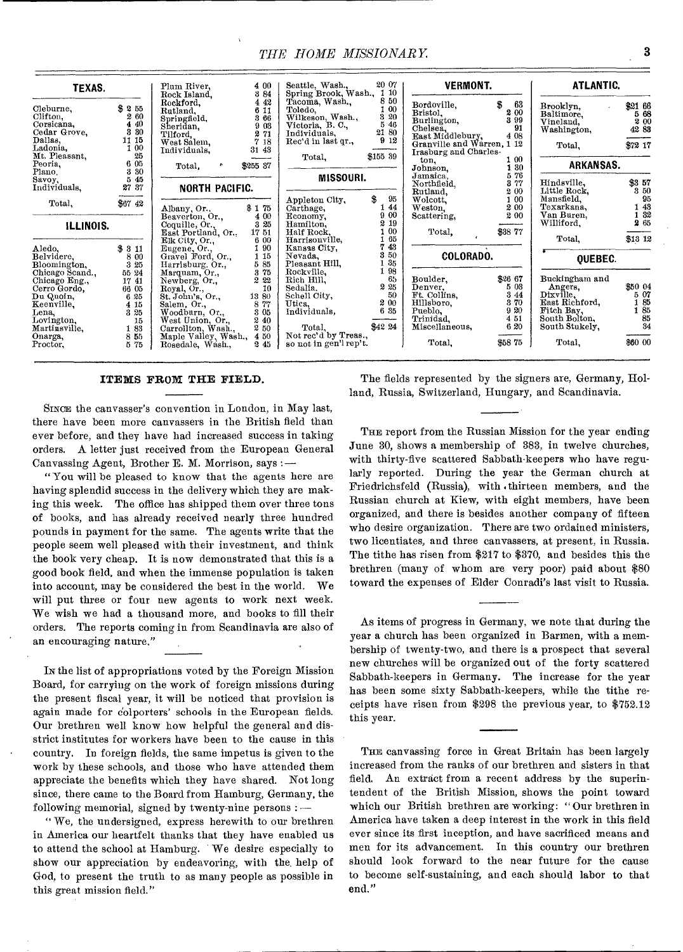| TEXAS.                                                                                                                                                                                                | Plum River,<br>Rock Island,                                                                                                                                                  | Seattle, Wash.,<br>4 00<br>Spring Brook, Wash.,<br>384                                                                                                                       | 20 07<br>110                                             | <b>VERMONT.</b>                                                                                                                       |                                                         | ATLANTIC.                                                                                                 |                                             |
|-------------------------------------------------------------------------------------------------------------------------------------------------------------------------------------------------------|------------------------------------------------------------------------------------------------------------------------------------------------------------------------------|------------------------------------------------------------------------------------------------------------------------------------------------------------------------------|----------------------------------------------------------|---------------------------------------------------------------------------------------------------------------------------------------|---------------------------------------------------------|-----------------------------------------------------------------------------------------------------------|---------------------------------------------|
| \$255<br>Cleburne,<br>Clifton,<br>260<br>4 40<br>Corsicana,<br>3 30<br>Cedar Grove.<br>Dallas,<br>11 15<br>Ladonia,<br>1 00<br>Mt. Pleasant,<br>25<br>Peoria.<br>6 05                                 | Rockford,<br>Rutland,<br>Springfield,<br>Sheridan,<br>Tilford.<br>West Salem,<br>31 43<br>Individuals,<br>۰                                                                  | Tacoma, Wash.<br>4 4 2<br>Toledo,<br>6 11<br>Wilkeson, Wash.,<br>Victoria, B. C.,<br>3 66<br>9.03<br>Individuals.<br>271<br>Rec'd in last qr.,<br>7 18<br>Total.             | 8 50<br>100<br>3 20<br>5 4 6<br>21 80<br>912<br>\$155 39 | Bordoville,<br>Bristol.<br>Burlington,<br>Chelsea,<br>East Middlebury,<br>Granville and Warren, 1 12<br>Irasburg and Charles-<br>ton. | \$<br>63<br>2 00<br>3 9 9<br>91<br>4 08<br>100          | Brooklyn,<br>Baltimore.<br>Vineland.<br>Washington,<br>Total,<br>ARKANSAS.                                | \$21 66<br>5 68<br>2 00<br>42 83<br>\$72 17 |
| 3 30<br>Plano.                                                                                                                                                                                        | \$255 37<br>Total.                                                                                                                                                           |                                                                                                                                                                              |                                                          | Johnson,<br>Jamaica,                                                                                                                  | 1 30<br>576                                             |                                                                                                           |                                             |
| 5 45<br>Savoy,<br>27 37<br>Individuals,                                                                                                                                                               | NORTH PACIFIC.                                                                                                                                                               | <b>MISSOURI.</b>                                                                                                                                                             |                                                          | Northfield,<br>Rutland,                                                                                                               | 3 77<br>2 00                                            | Hindsville.<br>Little Rock.                                                                               | \$357<br>3 50                               |
| \$67 42<br>Total,                                                                                                                                                                                     | \$175<br>Albany, Or.,                                                                                                                                                        | Appleton City,<br>Carthage,                                                                                                                                                  | \$<br>95<br>44<br>9 00                                   | Wolcott.<br>Weston.                                                                                                                   | 1 00<br>2 00                                            | Mansfield.<br>Texarkana.<br>Van Buren.                                                                    | 95<br>1 43<br>1 32                          |
| ILLINOIS.                                                                                                                                                                                             | Beaverton, Or.,<br>Coquille, Or.,                                                                                                                                            | 4 00<br>Economy.<br>3 25<br>Hamilton,                                                                                                                                        | 2 19                                                     | Scattering,                                                                                                                           | 2 0 0                                                   | Williford.                                                                                                | 2 65                                        |
|                                                                                                                                                                                                       | 1751<br>East Portland, Or.,                                                                                                                                                  | Half Rock.<br>Harrisonville,<br>6 00                                                                                                                                         | $00\,$<br>1 65                                           | Total.                                                                                                                                | \$38 77                                                 | Total,                                                                                                    | \$13 12                                     |
| 3311<br>Aledo.<br>Belvidere.<br>8 00<br>Bloomington,<br>3 25                                                                                                                                          | Elk City, Or.,<br>Eugene, Or.,<br>Gravel Ford, Or.,<br>Harrisburg. Or.,                                                                                                      | 90<br>Kansas City,<br>1 15<br>Nevada,<br>Pleasant Hill,<br>5 85                                                                                                              | 43<br>7<br>3 50<br>35<br>98                              | COLORADO.                                                                                                                             |                                                         | OUEBEC.                                                                                                   |                                             |
| Chicago Scand.,<br>55 24<br>Chicago Eng.,<br>17 41<br>Cerro Gordo,<br>66 05<br>6 25<br>Du Quoin,<br>Keenville.<br>4 15<br>3 25<br>Lena.<br>Lovington.<br>15<br>Martinsville,<br>183<br>Onarga,<br>855 | Marquam, Or.,<br>Newberg, Or.,<br>Royal, Or.,<br>St. John's, Or.<br>13 80<br>Salem, Or.,<br>Woodburn, Or.,<br>West Union, Or.,<br>Carrollton, Wash.,<br>Maple Valley, Wash., | Rockville.<br>375<br>2 22<br>Rich Hill,<br>Sedalia.<br>10<br>Schell City,<br>8 77<br>Utica.<br>Individuals,<br>3 05<br>240<br>Total.<br>2 50<br>Not rec'd by Treas.,<br>4 50 | 65<br>2 25<br>50<br>2 00<br>6 35<br>\$42 24              | Boulder.<br>Denver.<br>Ft. Collins.<br>Hillsboro.<br>Pueblo.<br>Trinidad,<br>Miscellaneous,                                           | \$26 67<br>5 03<br>3 4 4<br>370<br>9 20<br>4 51<br>6 20 | Buckingham and<br>Angers,<br>Dixville,<br>East Richford,<br>Fitch Bay,<br>South Bolton,<br>South Stukely, | \$50 04<br>5 07<br>185<br>185<br>85<br>34   |
| Proctor,<br>5 75                                                                                                                                                                                      | Rosedale, Wash.,                                                                                                                                                             | so not in gen'l rep't.<br>245                                                                                                                                                |                                                          | Total,                                                                                                                                | \$5875                                                  | Total.                                                                                                    | 860 00                                      |

#### **ITEMS FROM THE FIELD.**

SINCE the canvasser's convention in London, in May last, there have been more canvassers in the British field than ever before, and they have bad increased success in taking orders. A letter just received from the European General Canvassing Agent, Brother E. M. Morrison, says :—

"You will be pleased to know that the agents here are having splendid success in the delivery which they are making this week. The office has shipped them over three tons of books, and has already received nearly three hundred pounds in payment for the same. The agents write that the people seem well pleased with their investment, and think the book very cheap. It is now demonstrated that this is a good book field, and when the immense population is taken into account, may be considered the best in the world. We will put three or four new agents to work next week. We wish we had a thousand more, and books to fill their orders. The reports coming in from Scandinavia are also of an encouraging nature."

IN the list of appropriations voted by the Foreign Mission Board, for carrying on the work of foreign missions during the present fiscal year, it will be noticed that provision is again made for colporters' schools in the European fields. Our brethren well know how helpful the general and disstrict institutes for workers have been to the cause in this country. In foreign fields, the same impetus is given to the work by these schools, and those who have attended them appreciate the benefits which they have shared. Not long since, there came to the Board from Hamburg, Germany, the following memorial, signed by twenty-nine persons : —

" We, the undersigned, express herewith to our brethren in America our heartfelt thanks that they have enabled us to attend the school at Hamburg. ' We desire especially to show our appreciation by endeavoring, with the, help of God, to present the truth to as many people as possible in this great mission field."

The fields represented by the signers are, Germany, Holland, Russia, Switzerland, Hungary, and Scandinavia.

THE report from the Russian Mission for the year ending June 30, shows a membership of 383, in twelve churches, with thirty-five scattered Sabbath-keepers who have regularly reported. During the year the German church at Friedrichsfeld (Russia), with .thirteen members, and the Russian church at Kiew, with eight members, have been organized, and there is besides another company of fifteen who desire organization. There are two ordained ministers, two licentiates, and three canvassers, at present, in Russia. The tithe has risen from \$217 to \$370, and besides this the brethren (many of whom are very poor) paid about \$80 toward the expenses of Elder Conradi's last visit to Russia.

As items of progress in Germany, we note that during the year a church has been organized in Barmen, with a membership of twenty-two, and there is a prospect that several new churches will be organized out of the forty scattered Sabbath-keepers in Germany. The increase for the year has been some sixty Sabbath-keepers, while the tithe receipts have risen from \$298 the previous year, to \$752.12 this year.

THE canvassing force in Great Britain has been largely increased from the ranks of our brethren and sisters in that field. An extract from a recent address by the superintendent of the British Mission, shows the point toward which our British brethren are working: " Our brethren in America have taken a deep interest in the work in this field ever since its first inception, and have sacrificed means and men for its advancement. In this country our brethren should look forward to the near future for the cause to become self-sustaining, and each should labor to that end."